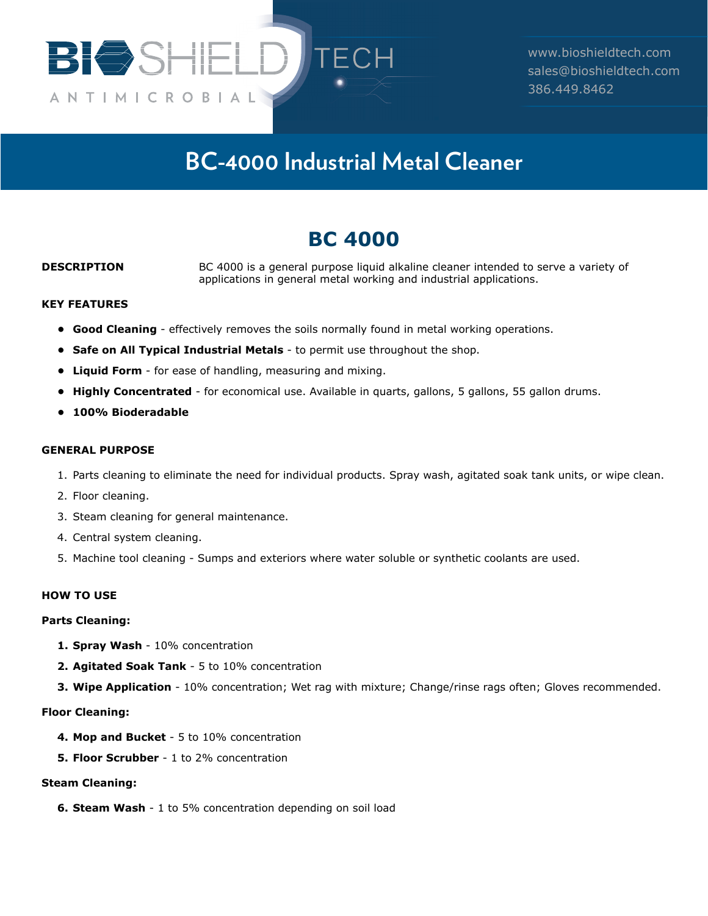

www.bioshieldtech.com sales@bioshieldtech.com 386.449.8462

# **BC-4000 Industrial Metal Cleaner**

## **BC 4000**

**DESCRIPTION** BC 4000 is a general purpose liquid alkaline cleaner intended to serve a variety of applications in general metal working and industrial applications.

#### **KEY FEATURES**

- **• Good Cleaning** effectively removes the soils normally found in metal working operations.
- **• Safe on All Typical Industrial Metals** to permit use throughout the shop.
- **• Liquid Form** for ease of handling, measuring and mixing.
- Highly Concentrated for economical use. Available in quarts, gallons, 5 gallons, 55 gallon drums.
- **• 100% Bioderadable**

#### **GENERAL PURPOSE**

- 1. Parts cleaning to eliminate the need for individual products. Spray wash, agitated soak tank units, or wipe clean.
- 2. Floor cleaning.
- 3. Steam cleaning for general maintenance.
- 4. Central system cleaning.
- 5. Machine tool cleaning Sumps and exteriors where water soluble or synthetic coolants are used.

#### **HOW TO USE**

#### **Parts Cleaning:**

- **1. Spray Wash** 10% concentration
- **2. Agitated Soak Tank** 5 to 10% concentration
- **3. Wipe Application** 10% concentration; Wet rag with mixture; Change/rinse rags often; Gloves recommended.

#### **Floor Cleaning:**

- **4. Mop and Bucket** 5 to 10% concentration
- **5. Floor Scrubber** 1 to 2% concentration

#### **Steam Cleaning:**

**6. Steam Wash** - 1 to 5% concentration depending on soil load